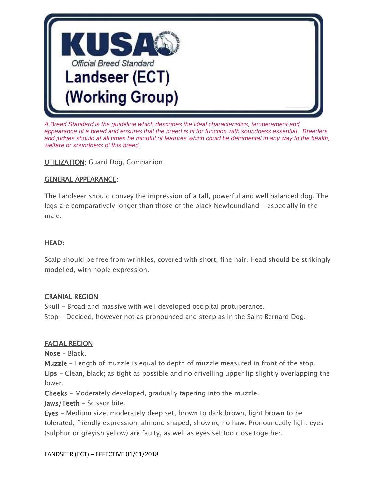

*A Breed Standard is the guideline which describes the ideal characteristics, temperament and appearance of a breed and ensures that the breed is fit for function with soundness essential. Breeders and judges should at all times be mindful of features which could be detrimental in any way to the health, welfare or soundness of this breed.*

**UTILIZATION:** Guard Dog, Companion

#### GENERAL APPEARANCE:

The Landseer should convey the impression of a tall, powerful and well balanced dog. The legs are comparatively longer than those of the black Newfoundland - especially in the male.

#### HEAD:

Scalp should be free from wrinkles, covered with short, fine hair. Head should be strikingly modelled, with noble expression.

#### CRANIAL REGION

Skull - Broad and massive with well developed occipital protuberance. Stop - Decided, however not as pronounced and steep as in the Saint Bernard Dog.

#### FACIAL REGION

Nose - Black.

Muzzle - Length of muzzle is equal to depth of muzzle measured in front of the stop. Lips - Clean, black; as tight as possible and no drivelling upper lip slightly overlapping the lower.

Cheeks - Moderately developed, gradually tapering into the muzzle.

Jaws/Teeth - Scissor bite.

Eyes - Medium size, moderately deep set, brown to dark brown, light brown to be tolerated, friendly expression, almond shaped, showing no haw. Pronouncedly light eyes (sulphur or greyish yellow) are faulty, as well as eyes set too close together.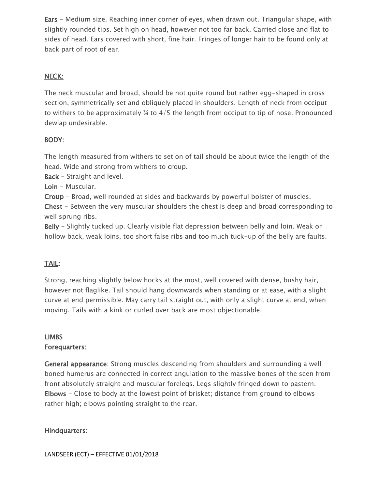Ears - Medium size. Reaching inner corner of eyes, when drawn out. Triangular shape, with slightly rounded tips. Set high on head, however not too far back. Carried close and flat to sides of head. Ears covered with short, fine hair. Fringes of longer hair to be found only at back part of root of ear.

#### NECK:

The neck muscular and broad, should be not quite round but rather egg-shaped in cross section, symmetrically set and obliquely placed in shoulders. Length of neck from occiput to withers to be approximately ¾ to 4/5 the length from occiput to tip of nose. Pronounced dewlap undesirable.

#### BODY:

The length measured from withers to set on of tail should be about twice the length of the head. Wide and strong from withers to croup.

Back - Straight and level.

Loin - Muscular.

Croup - Broad, well rounded at sides and backwards by powerful bolster of muscles.

Chest - Between the very muscular shoulders the chest is deep and broad corresponding to well sprung ribs.

Belly - Slightly tucked up. Clearly visible flat depression between belly and loin. Weak or hollow back, weak loins, too short false ribs and too much tuck-up of the belly are faults.

# TAIL:

Strong, reaching slightly below hocks at the most, well covered with dense, bushy hair, however not flaglike. Tail should hang downwards when standing or at ease, with a slight curve at end permissible. May carry tail straight out, with only a slight curve at end, when moving. Tails with a kink or curled over back are most objectionable.

# LIMBS

#### Forequarters:

General appearance: Strong muscles descending from shoulders and surrounding a well boned humerus are connected in correct angulation to the massive bones of the seen from front absolutely straight and muscular forelegs. Legs slightly fringed down to pastern. Elbows - Close to body at the lowest point of brisket; distance from ground to elbows rather high; elbows pointing straight to the rear.

#### Hindquarters: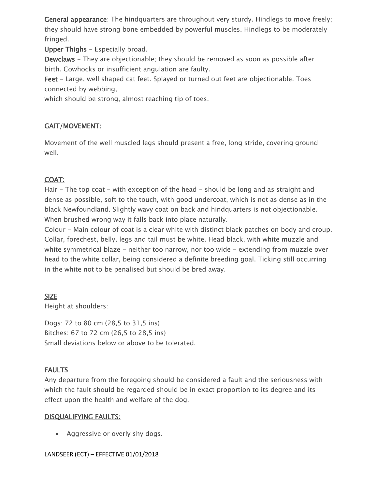General appearance: The hindquarters are throughout very sturdy. Hindlegs to move freely; they should have strong bone embedded by powerful muscles. Hindlegs to be moderately fringed.

Upper Thighs - Especially broad.

Dewclaws - They are objectionable; they should be removed as soon as possible after birth. Cowhocks or insufficient angulation are faulty.

Feet - Large, well shaped cat feet. Splayed or turned out feet are objectionable. Toes connected by webbing,

which should be strong, almost reaching tip of toes.

# GAIT/MOVEMENT:

Movement of the well muscled legs should present a free, long stride, covering ground well.

# COAT:

Hair - The top coat - with exception of the head - should be long and as straight and dense as possible, soft to the touch, with good undercoat, which is not as dense as in the black Newfoundland. Slightly wavy coat on back and hindquarters is not objectionable. When brushed wrong way it falls back into place naturally.

Colour - Main colour of coat is a clear white with distinct black patches on body and croup. Collar, forechest, belly, legs and tail must be white. Head black, with white muzzle and white symmetrical blaze - neither too narrow, nor too wide - extending from muzzle over head to the white collar, being considered a definite breeding goal. Ticking still occurring in the white not to be penalised but should be bred away.

## SIZE

Height at shoulders:

Dogs: 72 to 80 cm (28,5 to 31,5 ins) Bitches: 67 to 72 cm (26,5 to 28,5 ins) Small deviations below or above to be tolerated.

# FAULTS

Any departure from the foregoing should be considered a fault and the seriousness with which the fault should be regarded should be in exact proportion to its degree and its effect upon the health and welfare of the dog.

## DISQUALIFYING FAULTS:

• Aggressive or overly shy dogs.